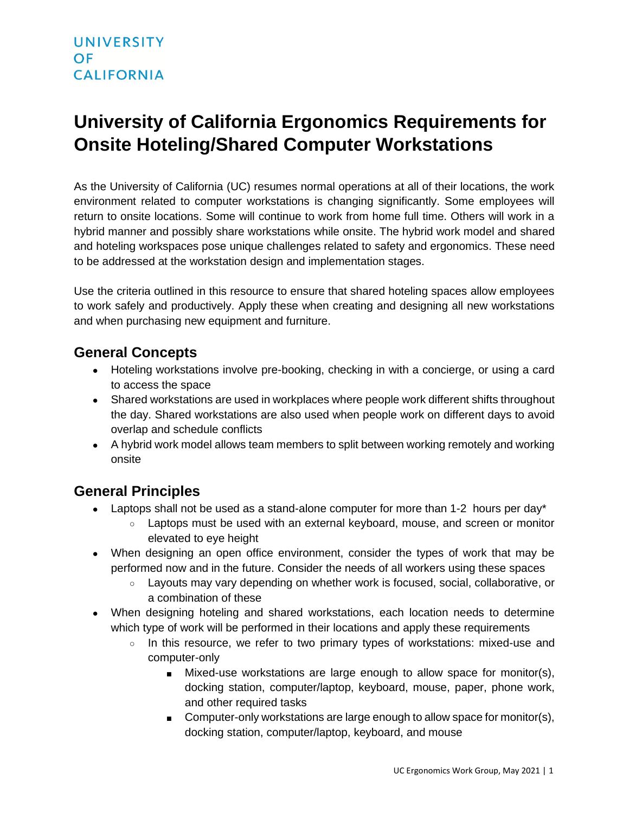# **University of California Ergonomics Requirements for Onsite Hoteling/Shared Computer Workstations**

As the University of California (UC) resumes normal operations at all of their locations, the work environment related to computer workstations is changing significantly. Some employees will return to onsite locations. Some will continue to work from home full time. Others will work in a hybrid manner and possibly share workstations while onsite. The hybrid work model and shared and hoteling workspaces pose unique challenges related to safety and ergonomics. These need to be addressed at the workstation design and implementation stages.

Use the criteria outlined in this resource to ensure that shared hoteling spaces allow employees to work safely and productively. Apply these when creating and designing all new workstations and when purchasing new equipment and furniture.

# **General Concepts**

- Hoteling workstations involve pre-booking, checking in with a concierge, or using a card to access the space
- Shared workstations are used in workplaces where people work different shifts throughout the day. Shared workstations are also used when people work on different days to avoid overlap and schedule conflicts
- A hybrid work model allows team members to split between working remotely and working onsite

# **General Principles**

- Laptops shall not be used as a stand-alone computer for more than 1-2 hours per day\*
	- Laptops must be used with an external keyboard, mouse, and screen or monitor elevated to eye height
- When designing an open office environment, consider the types of work that may be performed now and in the future. Consider the needs of all workers using these spaces
	- Layouts may vary depending on whether work is focused, social, collaborative, or a combination of these
- When designing hoteling and shared workstations, each location needs to determine which type of work will be performed in their locations and apply these requirements
	- In this resource, we refer to two primary types of workstations: mixed-use and computer-only
		- Mixed-use workstations are large enough to allow space for monitor(s), docking station, computer/laptop, keyboard, mouse, paper, phone work, and other required tasks
		- **Computer-only workstations are large enough to allow space for monitor(s),** docking station, computer/laptop, keyboard, and mouse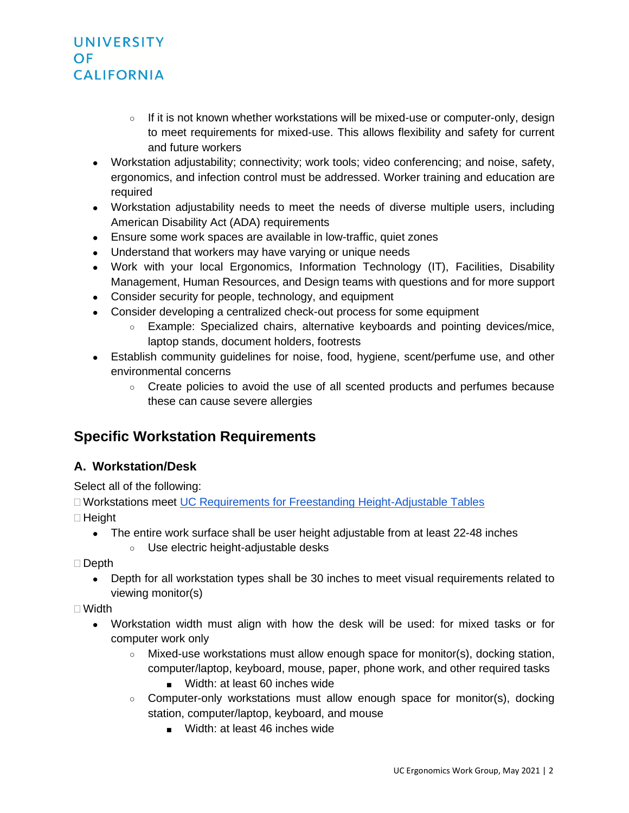- $\circ$  If it is not known whether workstations will be mixed-use or computer-only, design to meet requirements for mixed-use. This allows flexibility and safety for current and future workers
- Workstation adjustability; connectivity; work tools; video conferencing; and noise, safety, ergonomics, and infection control must be addressed. Worker training and education are required
- Workstation adjustability needs to meet the needs of diverse multiple users, including American Disability Act (ADA) requirements
- Ensure some work spaces are available in low-traffic, quiet zones
- Understand that workers may have varying or unique needs
- Work with your local Ergonomics, Information Technology (IT), Facilities, Disability Management, Human Resources, and Design teams with questions and for more support
- Consider security for people, technology, and equipment
- Consider developing a centralized check-out process for some equipment
	- Example: Specialized chairs, alternative keyboards and pointing devices/mice, laptop stands, document holders, footrests
- Establish community guidelines for noise, food, hygiene, scent/perfume use, and other environmental concerns
	- Create policies to avoid the use of all scented products and perfumes because these can cause severe allergies

# **Specific Workstation Requirements**

## **A. Workstation/Desk**

Select all of the following:

□ Workstations meet UC Requirements for Freestanding Height-Adjustable Tables

 $\Box$  Height

- The entire work surface shall be user height adjustable from at least 22-48 inches
	- Use electric height-adjustable desks

□ Depth

• Depth for all workstation types shall be 30 inches to meet visual requirements related to viewing monitor(s)

Width

- Workstation width must align with how the desk will be used: for mixed tasks or for computer work only
	- Mixed-use workstations must allow enough space for monitor(s), docking station, computer/laptop, keyboard, mouse, paper, phone work, and other required tasks
		- Width: at least 60 inches wide
	- $\circ$  Computer-only workstations must allow enough space for monitor(s), docking station, computer/laptop, keyboard, and mouse
		- Width: at least 46 inches wide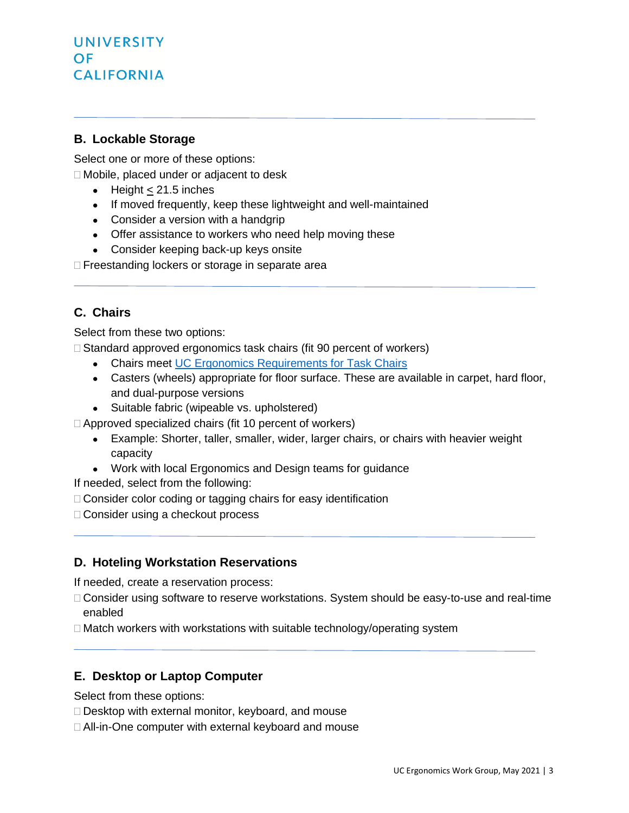### **B. Lockable Storage**

Select one or more of these options:

□ Mobile, placed under or adjacent to desk

- $\bullet$  Height  $<$  21.5 inches
- If moved frequently, keep these lightweight and well-maintained
- Consider a version with a handgrip
- Offer assistance to workers who need help moving these
- Consider keeping back-up keys onsite

□ Freestanding lockers or storage in separate area

### **C. Chairs**

Select from these two options:

 $\Box$  Standard approved ergonomics task chairs (fit 90 percent of workers)

- Chairs meet [UC Ergonomics Requirements for Task Chairs](https://uhs.berkeley.edu/sites/default/files/uc_task_chair_requirements_2.pdf)
- Casters (wheels) appropriate for floor surface. These are available in carpet, hard floor, and dual-purpose versions
- Suitable fabric (wipeable vs. upholstered)

□ Approved specialized chairs (fit 10 percent of workers)

- Example: Shorter, taller, smaller, wider, larger chairs, or chairs with heavier weight capacity
- Work with local Ergonomics and Design teams for guidance

If needed, select from the following:

- □ Consider color coding or tagging chairs for easy identification
- □ Consider using a checkout process

#### **D. Hoteling Workstation Reservations**

If needed, create a reservation process:

- □ Consider using software to reserve workstations. System should be easy-to-use and real-time enabled
- $\Box$  Match workers with workstations with suitable technology/operating system

#### **E. Desktop or Laptop Computer**

Select from these options:

- Desktop with external monitor, keyboard, and mouse
- All-in-One computer with external keyboard and mouse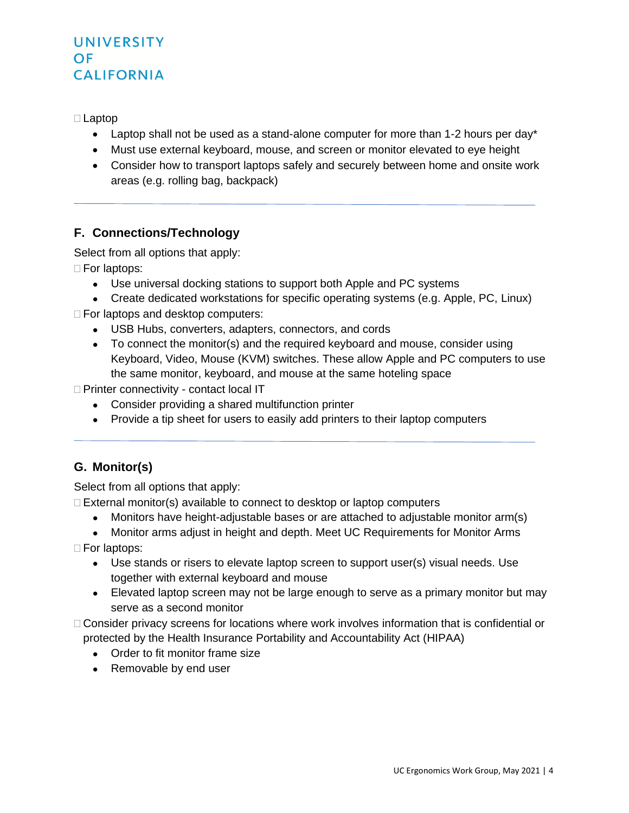Laptop

- Laptop shall not be used as a stand-alone computer for more than 1-2 hours per day\*
- Must use external keyboard, mouse, and screen or monitor elevated to eye height
- Consider how to transport laptops safely and securely between home and onsite work areas (e.g. rolling bag, backpack)

### **F. Connections/Technology**

Select from all options that apply:

□ For laptops:

- Use universal docking stations to support both Apple and PC systems
- Create dedicated workstations for specific operating systems (e.g. Apple, PC, Linux) □ For laptops and desktop computers:
	- USB Hubs, converters, adapters, connectors, and cords
	- To connect the monitor(s) and the required keyboard and mouse, consider using Keyboard, Video, Mouse (KVM) switches. These allow Apple and PC computers to use the same monitor, keyboard, and mouse at the same hoteling space

□ Printer connectivity - contact local IT

- Consider providing a shared multifunction printer
- Provide a tip sheet for users to easily add printers to their laptop computers

### **G. Monitor(s)**

Select from all options that apply:

 $\Box$  External monitor(s) available to connect to desktop or laptop computers

- Monitors have height-adjustable bases or are attached to adjustable monitor arm(s)
- Monitor arms adjust in height and depth. Meet UC Requirements for Monitor Arms

□ For laptops:

- Use stands or risers to elevate laptop screen to support user(s) visual needs. Use together with external keyboard and mouse
- Elevated laptop screen may not be large enough to serve as a primary monitor but may serve as a second monitor
- Consider privacy screens for locations where work involves information that is confidential or protected by the Health Insurance Portability and Accountability Act (HIPAA)
	- Order to fit monitor frame size
	- Removable by end user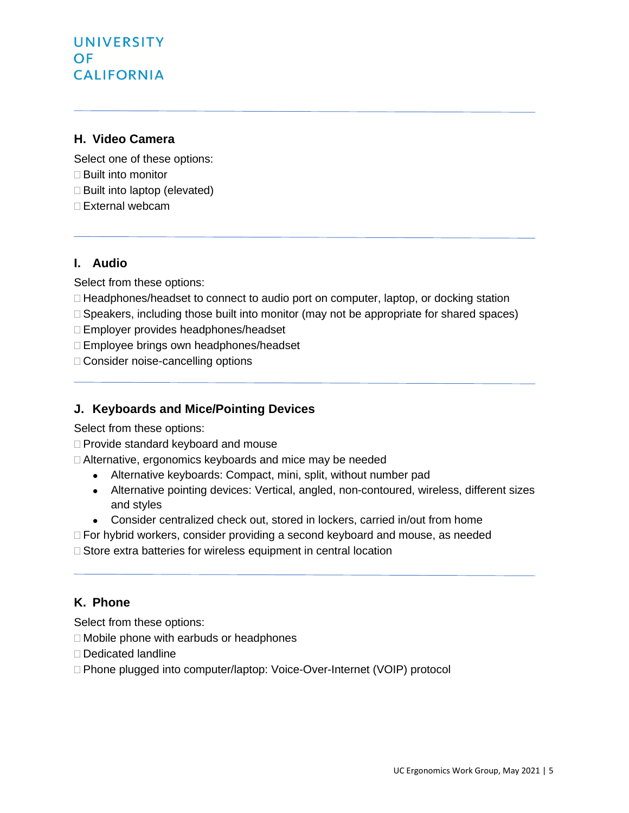#### **H. Video Camera**

Select one of these options:

- $\Box$  Built into monitor
- $\Box$  Built into laptop (elevated)
- $\Box$  External webcam

### **I. Audio**

Select from these options:

- □ Headphones/headset to connect to audio port on computer, laptop, or docking station
- $\Box$  Speakers, including those built into monitor (may not be appropriate for shared spaces)
- □ Employer provides headphones/headset
- □ Employee brings own headphones/headset
- □ Consider noise-cancelling options

## **J. Keyboards and Mice/Pointing Devices**

Select from these options:

 $\Box$  Provide standard keyboard and mouse

□ Alternative, ergonomics keyboards and mice may be needed

- Alternative keyboards: Compact, mini, split, without number pad
- Alternative pointing devices: Vertical, angled, non-contoured, wireless, different sizes and styles
- Consider centralized check out, stored in lockers, carried in/out from home
- For hybrid workers, consider providing a second keyboard and mouse, as needed

□ Store extra batteries for wireless equipment in central location

### **K. Phone**

Select from these options:

- □ Mobile phone with earbuds or headphones
- Dedicated landline
- □ Phone plugged into computer/laptop: Voice-Over-Internet (VOIP) protocol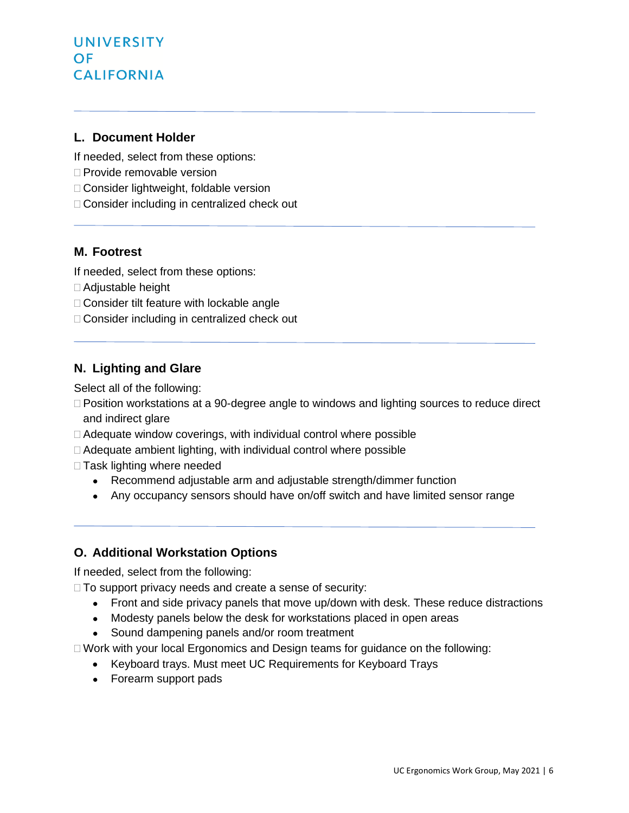#### **L. Document Holder**

If needed, select from these options:

- □ Provide removable version
- □ Consider lightweight, foldable version
- □ Consider including in centralized check out

#### **M. Footrest**

If needed, select from these options:

- Adjustable height
- □ Consider tilt feature with lockable angle
- □ Consider including in centralized check out

### **N. Lighting and Glare**

Select all of the following:

- Position workstations at a 90-degree angle to windows and lighting sources to reduce direct and indirect glare
- □ Adequate window coverings, with individual control where possible
- $\Box$  Adequate ambient lighting, with individual control where possible
- □ Task lighting where needed
	- Recommend adjustable arm and adjustable strength/dimmer function
	- Any occupancy sensors should have on/off switch and have limited sensor range

#### **O. Additional Workstation Options**

If needed, select from the following:

 $\Box$  To support privacy needs and create a sense of security:

- Front and side privacy panels that move up/down with desk. These reduce distractions
- Modesty panels below the desk for workstations placed in open areas
- Sound dampening panels and/or room treatment

Work with your local Ergonomics and Design teams for guidance on the following:

- Keyboard trays. Must meet UC Requirements for Keyboard Trays
- Forearm support pads